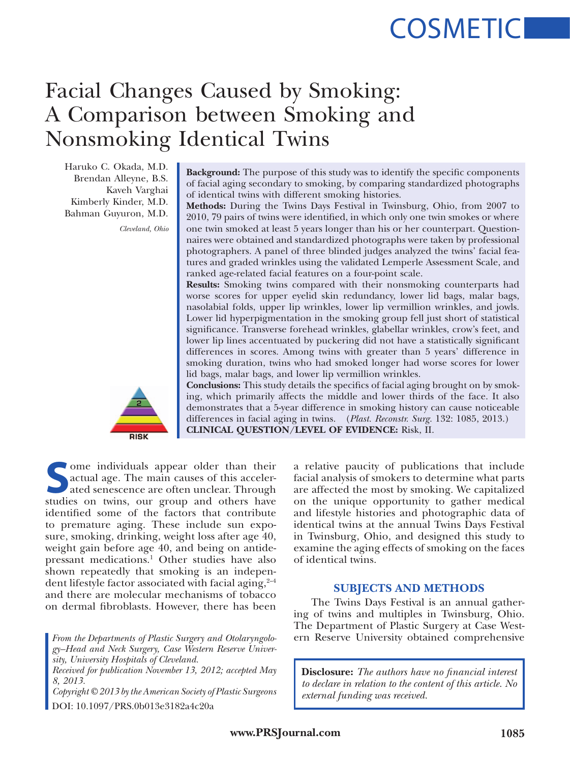# **COSMETIC**

# Facial Changes Caused by Smoking: A Comparison between Smoking and Nonsmoking Identical Twins

Haruko C. Okada, M.D. Brendan Alleyne, B.S. Kaveh Varghai Kimberly Kinder, M.D. Bahman Guyuron, M.D.

*Cleveland, Ohio*

RISK

**Background:** The purpose of this study was to identify the specific components of facial aging secondary to smoking, by comparing standardized photographs of identical twins with different smoking histories.

**Methods:** During the Twins Days Festival in Twinsburg, Ohio, from 2007 to 2010, 79 pairs of twins were identified, in which only one twin smokes or where one twin smoked at least 5 years longer than his or her counterpart. Questionnaires were obtained and standardized photographs were taken by professional photographers. A panel of three blinded judges analyzed the twins' facial features and graded wrinkles using the validated Lemperle Assessment Scale, and ranked age-related facial features on a four-point scale.

**Results:** Smoking twins compared with their nonsmoking counterparts had worse scores for upper eyelid skin redundancy, lower lid bags, malar bags, nasolabial folds, upper lip wrinkles, lower lip vermillion wrinkles, and jowls. Lower lid hyperpigmentation in the smoking group fell just short of statistical significance. Transverse forehead wrinkles, glabellar wrinkles, crow's feet, and lower lip lines accentuated by puckering did not have a statistically significant differences in scores. Among twins with greater than 5 years' difference in smoking duration, twins who had smoked longer had worse scores for lower lid bags, malar bags, and lower lip vermillion wrinkles.

**Conclusions:** This study details the specifics of facial aging brought on by smoking, which primarily affects the middle and lower thirds of the face. It also demonstrates that a 5-year difference in smoking history can cause noticeable differences in facial aging in twins. (*Plast. Reconstr. Surg.* 132: 1085, 2013.) **CLINICAL QUESTION/LEVEL OF EVIDENCE:** Risk, II.

Some individuals appear older than their<br>
actual age. The main causes of this acceler-<br>
ated senescence are often unclear. Through<br>
studies on twins our group and others have actual age. The main causes of this accelerstudies on twins, our group and others have identified some of the factors that contribute to premature aging. These include sun exposure, smoking, drinking, weight loss after age 40, weight gain before age 40, and being on antidepressant medications.1 Other studies have also shown repeatedly that smoking is an independent lifestyle factor associated with facial aging,  $2-4$ and there are molecular mechanisms of tobacco on dermal fibroblasts. However, there has been

*From the Departments of Plastic Surgery and Otolaryngology–Head and Neck Surgery, Case Western Reserve University, University Hospitals of Cleveland.*

*Received for publication November 13, 2012; accepted May 8, 2013.*

*external funding was received. Copyright © 2013 by the American Society of Plastic Surgeons* DOI: 10.1097/PRS.0b013e3182a4c20a

a relative paucity of publications that include facial analysis of smokers to determine what parts are affected the most by smoking. We capitalized on the unique opportunity to gather medical and lifestyle histories and photographic data of identical twins at the annual Twins Days Festival in Twinsburg, Ohio, and designed this study to examine the aging effects of smoking on the faces of identical twins.

# **SUBJECTS AND METHODS**

The Twins Days Festival is an annual gathering of twins and multiples in Twinsburg, Ohio. The Department of Plastic Surgery at Case Western Reserve University obtained comprehensive

**Disclosure:** *The authors have no financial interest to declare in relation to the content of this article. No*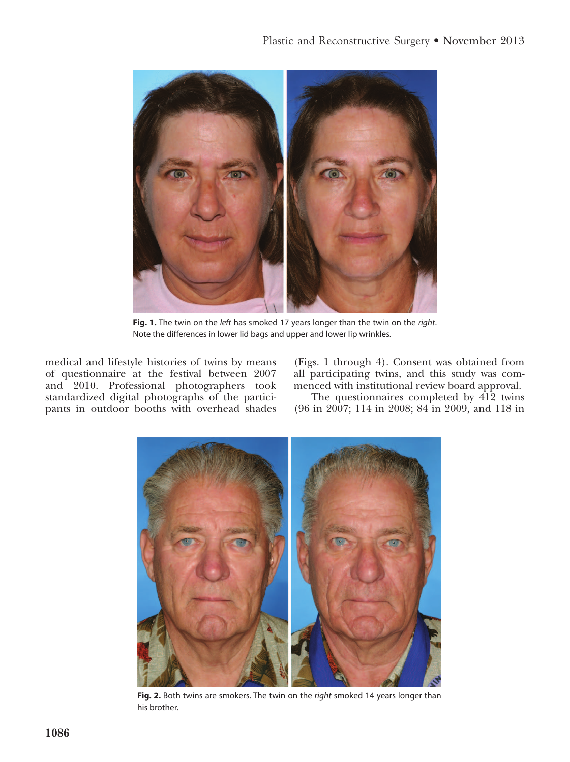

**Fig. 1.** The twin on the *left* has smoked 17 years longer than the twin on the *right*. Note the differences in lower lid bags and upper and lower lip wrinkles.

medical and lifestyle histories of twins by means of questionnaire at the festival between 2007 and 2010. Professional photographers took standardized digital photographs of the participants in outdoor booths with overhead shades

(Figs. 1 through 4). Consent was obtained from all participating twins, and this study was commenced with institutional review board approval.

The questionnaires completed by 412 twins (96 in 2007; 114 in 2008; 84 in 2009, and 118 in



**Fig. 2.** Both twins are smokers. The twin on the *right* smoked 14 years longer than his brother.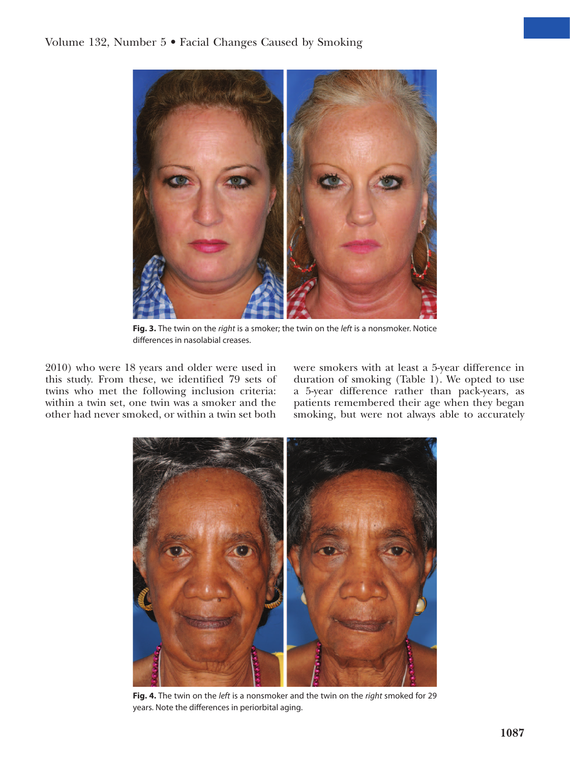

**Fig. 3.** The twin on the *right* is a smoker; the twin on the *left* is a nonsmoker. Notice differences in nasolabial creases.

2010) who were 18 years and older were used in this study. From these, we identified 79 sets of twins who met the following inclusion criteria: within a twin set, one twin was a smoker and the other had never smoked, or within a twin set both were smokers with at least a 5-year difference in duration of smoking (Table 1). We opted to use a 5-year difference rather than pack-years, as patients remembered their age when they began smoking, but were not always able to accurately



**Fig. 4.** The twin on the *left* is a nonsmoker and the twin on the *right* smoked for 29 years. Note the differences in periorbital aging.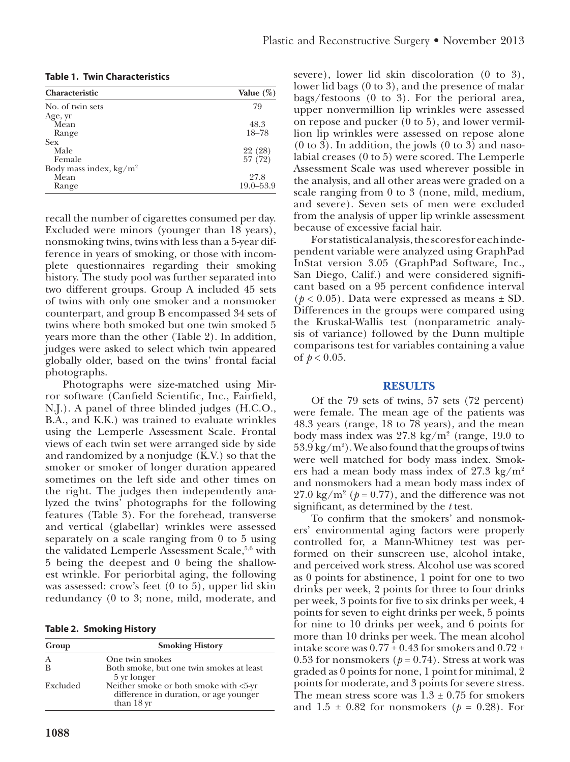| <b>Characteristic</b>     | Value $(\%)$  |
|---------------------------|---------------|
| No. of twin sets          | 79            |
| Age, yr                   |               |
| Mean                      | 48.3          |
| Range                     | $18 - 78$     |
| <b>Sex</b>                |               |
| Male                      | 22 (28)       |
| Female                    | 57 (72)       |
| Body mass index, $kg/m^2$ |               |
| Mean                      | 27.8          |
| Range                     | $19.0 - 53.9$ |

**Table 1. Twin Characteristics**

recall the number of cigarettes consumed per day. Excluded were minors (younger than 18 years), nonsmoking twins, twins with less than a 5-year difference in years of smoking, or those with incomplete questionnaires regarding their smoking history. The study pool was further separated into two different groups. Group A included 45 sets of twins with only one smoker and a nonsmoker counterpart, and group B encompassed 34 sets of twins where both smoked but one twin smoked 5 years more than the other (Table 2). In addition, judges were asked to select which twin appeared globally older, based on the twins' frontal facial photographs.

Photographs were size-matched using Mirror software (Canfield Scientific, Inc., Fairfield, N.J.). A panel of three blinded judges (H.C.O., B.A., and K.K.) was trained to evaluate wrinkles using the Lemperle Assessment Scale. Frontal views of each twin set were arranged side by side and randomized by a nonjudge (K.V.) so that the smoker or smoker of longer duration appeared sometimes on the left side and other times on the right. The judges then independently analyzed the twins' photographs for the following features (Table 3). For the forehead, transverse and vertical (glabellar) wrinkles were assessed separately on a scale ranging from 0 to 5 using the validated Lemperle Assessment Scale,<sup>5,6</sup> with 5 being the deepest and 0 being the shallowest wrinkle. For periorbital aging, the following was assessed: crow's feet (0 to 5), upper lid skin redundancy (0 to 3; none, mild, moderate, and

**Table 2. Smoking History**

| Group    | <b>Smoking History</b>                                                                         |
|----------|------------------------------------------------------------------------------------------------|
| A        | One twin smokes                                                                                |
| B        | Both smoke, but one twin smokes at least<br>5 yr longer                                        |
| Excluded | Neither smoke or both smoke with <5-yr<br>difference in duration, or age younger<br>than 18 yr |

severe), lower lid skin discoloration (0 to 3), lower lid bags (0 to 3), and the presence of malar bags/festoons (0 to 3). For the perioral area, upper nonvermillion lip wrinkles were assessed on repose and pucker (0 to 5), and lower vermillion lip wrinkles were assessed on repose alone (0 to 3). In addition, the jowls (0 to 3) and nasolabial creases (0 to 5) were scored. The Lemperle Assessment Scale was used wherever possible in the analysis, and all other areas were graded on a scale ranging from 0 to 3 (none, mild, medium, and severe). Seven sets of men were excluded from the analysis of upper lip wrinkle assessment because of excessive facial hair.

For statistical analysis, the scores for each independent variable were analyzed using GraphPad InStat version 3.05 (GraphPad Software, Inc., San Diego, Calif.) and were considered significant based on a 95 percent confidence interval  $(p < 0.05)$ . Data were expressed as means  $\pm$  SD. Differences in the groups were compared using the Kruskal-Wallis test (nonparametric analysis of variance) followed by the Dunn multiple comparisons test for variables containing a value of  $p < 0.05$ .

## **RESULTS**

Of the 79 sets of twins, 57 sets (72 percent) were female. The mean age of the patients was 48.3 years (range, 18 to 78 years), and the mean body mass index was  $27.8 \text{ kg/m}^2$  (range, 19.0 to  $53.9\,\mathrm{kg/m^2}$ ). We also found that the groups of twins were well matched for body mass index. Smokers had a mean body mass index of  $27.3 \text{ kg/m}^2$ and nonsmokers had a mean body mass index of 27.0 kg/m<sup>2</sup> ( $p = 0.77$ ), and the difference was not significant, as determined by the *t* test.

To confirm that the smokers' and nonsmokers' environmental aging factors were properly controlled for, a Mann-Whitney test was performed on their sunscreen use, alcohol intake, and perceived work stress. Alcohol use was scored as 0 points for abstinence, 1 point for one to two drinks per week, 2 points for three to four drinks per week, 3 points for five to six drinks per week, 4 points for seven to eight drinks per week, 5 points for nine to 10 drinks per week, and 6 points for more than 10 drinks per week. The mean alcohol intake score was  $0.77 \pm 0.43$  for smokers and  $0.72 \pm 0.43$ 0.53 for nonsmokers ( $p = 0.74$ ). Stress at work was graded as 0 points for none, 1 point for minimal, 2 points for moderate, and 3 points for severe stress. The mean stress score was  $1.3 \pm 0.75$  for smokers and  $1.5 \pm 0.82$  for nonsmokers ( $p = 0.28$ ). For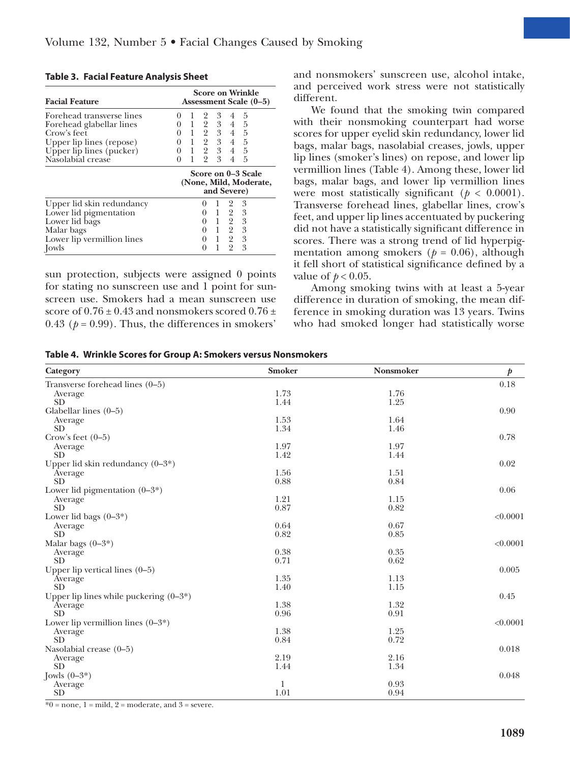| <b>Table 3. Facial Feature Analysis Sheet</b> |  |  |  |
|-----------------------------------------------|--|--|--|
|-----------------------------------------------|--|--|--|

| <b>Facial Feature</b>      | <b>Score on Wrinkle</b><br>Assessment Scale (0–5)           |  |  |
|----------------------------|-------------------------------------------------------------|--|--|
| Forehead transverse lines  | 3<br>$\overline{2}$<br>$5\phantom{.0}$<br>4<br>$^{(1)}$     |  |  |
| Forehead glabellar lines   | 1 2 3 4 5<br>$^{(1)}$                                       |  |  |
| Crow's feet                | $0 \t1 \t2 \t3 \t4 \t5$                                     |  |  |
| Upper lip lines (repose)   | $0 \quad 1 \quad 2 \quad 3 \quad 4 \quad 5$                 |  |  |
| Upper lip lines (pucker)   | $0 \t1 \t2 \t3 \t4 \t5$                                     |  |  |
| Nasolabial crease          | $1 \t2 \t3$<br>5<br>$4 \quad$<br>0                          |  |  |
|                            | Score on 0–3 Scale<br>(None, Mild, Moderate,<br>and Severe) |  |  |
| Upper lid skin redundancy  | - 3<br>$\overline{2}$<br>$\perp$                            |  |  |
| Lower lid pigmentation     | $0 \t1 \t2 \t3$                                             |  |  |
| Lower lid bags             | 1 2 3<br>0                                                  |  |  |
| Malar bags                 | $0 \t1 \t2 \t3$                                             |  |  |
| Lower lip vermillion lines | $0 \t1 \t2 \t3$                                             |  |  |
| [owls]                     | $\overline{2}$<br>1<br>3                                    |  |  |

sun protection, subjects were assigned 0 points for stating no sunscreen use and 1 point for sunscreen use. Smokers had a mean sunscreen use score of  $0.76 \pm 0.43$  and nonsmokers scored  $0.76 \pm 0.43$ 0.43 ( $p = 0.99$ ). Thus, the differences in smokers'

and nonsmokers' sunscreen use, alcohol intake, and perceived work stress were not statistically different.

We found that the smoking twin compared with their nonsmoking counterpart had worse scores for upper eyelid skin redundancy, lower lid bags, malar bags, nasolabial creases, jowls, upper lip lines (smoker's lines) on repose, and lower lip vermillion lines (Table 4). Among these, lower lid bags, malar bags, and lower lip vermillion lines were most statistically significant ( $p < 0.0001$ ). Transverse forehead lines, glabellar lines, crow's feet, and upper lip lines accentuated by puckering did not have a statistically significant difference in scores. There was a strong trend of lid hyperpigmentation among smokers ( $p = 0.06$ ), although it fell short of statistical significance defined by a value of  $p < 0.05$ .

Among smoking twins with at least a 5-year difference in duration of smoking, the mean difference in smoking duration was 13 years. Twins who had smoked longer had statistically worse

| Category                                  | <b>Smoker</b> | <b>Nonsmoker</b> | $\boldsymbol{p}$ |
|-------------------------------------------|---------------|------------------|------------------|
| Transverse forehead lines (0-5)           |               |                  | 0.18             |
| Average                                   | 1.73          | 1.76             |                  |
| <b>SD</b>                                 | 1.44          | 1.25             |                  |
| Glabellar lines $(0-5)$                   |               |                  | 0.90             |
| Average                                   | 1.53          | 1.64             |                  |
| <b>SD</b>                                 | 1.34          | 1.46             |                  |
| Crow's feet $(0-5)$                       |               |                  | 0.78             |
| Average                                   | 1.97          | 1.97             |                  |
| <b>SD</b>                                 | 1.42          | 1.44             |                  |
| Upper lid skin redundancy $(0-3^*)$       |               |                  | 0.02             |
| Average                                   | 1.56          | 1.51             |                  |
| <b>SD</b>                                 | 0.88          | 0.84             |                  |
| Lower lid pigmentation $(0-3^*)$          |               |                  | 0.06             |
| Average                                   | 1.21          | 1.15             |                  |
| <b>SD</b>                                 | 0.87          | 0.82             |                  |
| Lower lid bags $(0-3^*)$                  |               |                  | < 0.0001         |
| Average                                   | 0.64          | 0.67             |                  |
| <b>SD</b>                                 | 0.82          | 0.85             |                  |
| Malar bags $(0-3^*)$                      |               |                  | < 0.0001         |
| Average                                   | 0.38          | 0.35             |                  |
| <b>SD</b>                                 | 0.71          | 0.62             |                  |
| Upper lip vertical lines $(0-5)$          |               |                  | 0.005            |
| Average                                   | 1.35          | 1.13             |                  |
| <b>SD</b>                                 | 1.40          | 1.15             |                  |
| Upper lip lines while puckering $(0-3^*)$ |               |                  | 0.45             |
| Average                                   | 1.38          | 1.32             |                  |
| <b>SD</b>                                 | 0.96          | 0.91             |                  |
| Lower lip vermillion lines $(0-3^*)$      |               |                  | < 0.0001         |
| Average                                   | 1.38          | 1.25             |                  |
| <b>SD</b>                                 | 0.84          | 0.72             |                  |
| Nasolabial crease (0-5)                   |               |                  | 0.018            |
| Average                                   | 2.19          | 2.16             |                  |
| <b>SD</b>                                 | 1.44          | 1.34             |                  |
| Jowls $(0-3^*)$                           |               |                  | 0.048            |
| Average                                   | 1             | 0.93             |                  |
| <b>SD</b>                                 | 1.01          | 0.94             |                  |
|                                           |               |                  |                  |

 $*0$  = none, 1 = mild, 2 = moderate, and 3 = severe.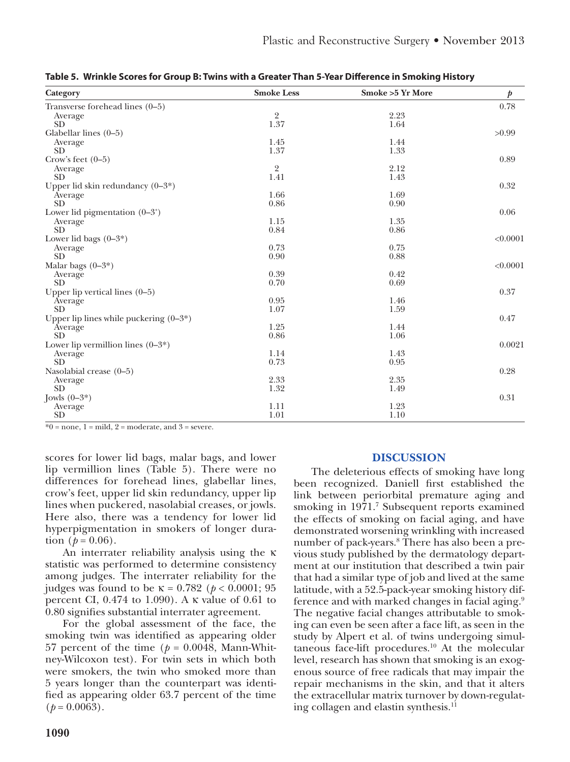| Category                                  | <b>Smoke Less</b> | <b>Smoke &gt;5 Yr More</b> | $\boldsymbol{p}$ |
|-------------------------------------------|-------------------|----------------------------|------------------|
| Transverse forehead lines (0-5)           |                   |                            | 0.78             |
| Average                                   | $\overline{2}$    | 2.23                       |                  |
| <b>SD</b>                                 | 1.37              | 1.64                       |                  |
| Glabellar lines $(0-5)$                   |                   |                            | >0.99            |
| Average                                   | 1.45              | 1.44                       |                  |
| <b>SD</b>                                 | 1.37              | 1.33                       |                  |
| Crow's feet $(0-5)$                       |                   |                            | 0.89             |
| Average                                   | $\overline{2}$    | 2.12                       |                  |
| <b>SD</b>                                 | 1.41              | 1.43                       |                  |
| Upper lid skin redundancy $(0-3^*)$       |                   |                            | 0.32             |
| Average                                   | 1.66              | 1.69                       |                  |
| <b>SD</b>                                 | 0.86              | 0.90                       |                  |
| Lower lid pigmentation $(0-3^*)$          |                   |                            | 0.06             |
| Average                                   | 1.15              | 1.35                       |                  |
| <b>SD</b>                                 | 0.84              | 0.86                       |                  |
| Lower lid bags $(0-3^*)$                  |                   |                            | < 0.0001         |
| Average                                   | 0.73              | 0.75                       |                  |
| <b>SD</b>                                 | 0.90              | 0.88                       |                  |
| Malar bags $(0-3^*)$                      |                   |                            | < 0.0001         |
| Average                                   | 0.39              | 0.42                       |                  |
| <b>SD</b>                                 | 0.70              | 0.69                       |                  |
| Upper lip vertical lines $(0-5)$          |                   |                            | 0.37             |
| Average                                   | 0.95              | 1.46                       |                  |
| <b>SD</b>                                 | 1.07              | 1.59                       |                  |
| Upper lip lines while puckering $(0-3^*)$ |                   |                            | 0.47             |
| Average                                   | 1.25              | 1.44                       |                  |
| <b>SD</b>                                 | 0.86              | 1.06                       |                  |
| Lower lip vermillion lines $(0-3^*)$      |                   |                            | 0.0021           |
| Average                                   | 1.14              | 1.43                       |                  |
| <b>SD</b>                                 | 0.73              | 0.95                       |                  |
| Nasolabial crease (0-5)                   |                   |                            | 0.28             |
| Average                                   | 2.33              | 2.35                       |                  |
| <b>SD</b>                                 | 1.32              | 1.49                       |                  |
| Jowls $(0-3^*)$                           |                   |                            | 0.31             |
| Average                                   | 1.11              | 1.23                       |                  |
| <b>SD</b>                                 | 1.01              | 1.10                       |                  |

**Table 5. Wrinkle Scores for Group B: Twins with a Greater Than 5-Year Difference in Smoking History**

 $*0$  = none, 1 = mild, 2 = moderate, and 3 = severe.

scores for lower lid bags, malar bags, and lower lip vermillion lines (Table 5). There were no differences for forehead lines, glabellar lines, crow's feet, upper lid skin redundancy, upper lip lines when puckered, nasolabial creases, or jowls. Here also, there was a tendency for lower lid hyperpigmentation in smokers of longer duration  $(p = 0.06)$ .

An interrater reliability analysis using the κ statistic was performed to determine consistency among judges. The interrater reliability for the judges was found to be  $\kappa = 0.782$  ( $p < 0.0001$ ; 95) percent CI, 0.474 to 1.090). A κ value of 0.61 to 0.80 signifies substantial interrater agreement.

For the global assessment of the face, the smoking twin was identified as appearing older 57 percent of the time ( $p = 0.0048$ , Mann-Whitney-Wilcoxon test). For twin sets in which both were smokers, the twin who smoked more than 5 years longer than the counterpart was identified as appearing older 63.7 percent of the time  $(p = 0.0063)$ .

# **DISCUSSION**

The deleterious effects of smoking have long been recognized. Daniell first established the link between periorbital premature aging and smoking in 1971.<sup>7</sup> Subsequent reports examined the effects of smoking on facial aging, and have demonstrated worsening wrinkling with increased number of pack-years.<sup>8</sup> There has also been a previous study published by the dermatology department at our institution that described a twin pair that had a similar type of job and lived at the same latitude, with a 52.5-pack-year smoking history difference and with marked changes in facial aging.<sup>9</sup> The negative facial changes attributable to smoking can even be seen after a face lift, as seen in the study by Alpert et al. of twins undergoing simultaneous face-lift procedures. $10$  At the molecular level, research has shown that smoking is an exogenous source of free radicals that may impair the repair mechanisms in the skin, and that it alters the extracellular matrix turnover by down-regulating collagen and elastin synthesis.<sup>11</sup>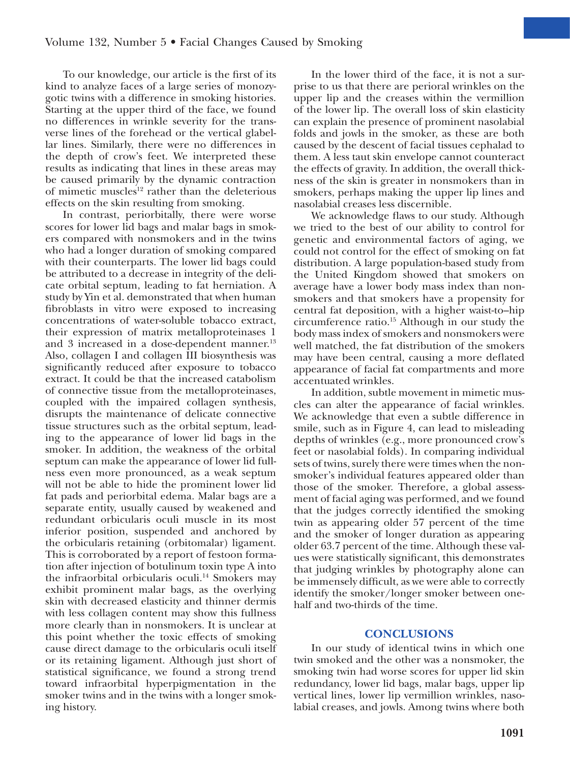To our knowledge, our article is the first of its kind to analyze faces of a large series of monozygotic twins with a difference in smoking histories. Starting at the upper third of the face, we found no differences in wrinkle severity for the transverse lines of the forehead or the vertical glabellar lines. Similarly, there were no differences in the depth of crow's feet. We interpreted these results as indicating that lines in these areas may be caused primarily by the dynamic contraction of mimetic muscles<sup>12</sup> rather than the deleterious effects on the skin resulting from smoking.

In contrast, periorbitally, there were worse scores for lower lid bags and malar bags in smokers compared with nonsmokers and in the twins who had a longer duration of smoking compared with their counterparts. The lower lid bags could be attributed to a decrease in integrity of the delicate orbital septum, leading to fat herniation. A study by Yin et al. demonstrated that when human fibroblasts in vitro were exposed to increasing concentrations of water-soluble tobacco extract, their expression of matrix metalloproteinases 1 and 3 increased in a dose-dependent manner. $^{13}$ Also, collagen I and collagen III biosynthesis was significantly reduced after exposure to tobacco extract. It could be that the increased catabolism of connective tissue from the metalloproteinases, coupled with the impaired collagen synthesis, disrupts the maintenance of delicate connective tissue structures such as the orbital septum, leading to the appearance of lower lid bags in the smoker. In addition, the weakness of the orbital septum can make the appearance of lower lid fullness even more pronounced, as a weak septum will not be able to hide the prominent lower lid fat pads and periorbital edema. Malar bags are a separate entity, usually caused by weakened and redundant orbicularis oculi muscle in its most inferior position, suspended and anchored by the orbicularis retaining (orbitomalar) ligament. This is corroborated by a report of festoon formation after injection of botulinum toxin type A into the infraorbital orbicularis oculi.<sup>14</sup> Smokers may exhibit prominent malar bags, as the overlying skin with decreased elasticity and thinner dermis with less collagen content may show this fullness more clearly than in nonsmokers. It is unclear at this point whether the toxic effects of smoking cause direct damage to the orbicularis oculi itself or its retaining ligament. Although just short of statistical significance, we found a strong trend toward infraorbital hyperpigmentation in the smoker twins and in the twins with a longer smoking history.

In the lower third of the face, it is not a surprise to us that there are perioral wrinkles on the upper lip and the creases within the vermillion of the lower lip. The overall loss of skin elasticity can explain the presence of prominent nasolabial folds and jowls in the smoker, as these are both caused by the descent of facial tissues cephalad to them. A less taut skin envelope cannot counteract the effects of gravity. In addition, the overall thickness of the skin is greater in nonsmokers than in smokers, perhaps making the upper lip lines and nasolabial creases less discernible.

We acknowledge flaws to our study. Although we tried to the best of our ability to control for genetic and environmental factors of aging, we could not control for the effect of smoking on fat distribution. A large population-based study from the United Kingdom showed that smokers on average have a lower body mass index than nonsmokers and that smokers have a propensity for central fat deposition, with a higher waist-to–hip circumference ratio.15 Although in our study the body mass index of smokers and nonsmokers were well matched, the fat distribution of the smokers may have been central, causing a more deflated appearance of facial fat compartments and more accentuated wrinkles.

In addition, subtle movement in mimetic muscles can alter the appearance of facial wrinkles. We acknowledge that even a subtle difference in smile, such as in Figure 4, can lead to misleading depths of wrinkles (e.g., more pronounced crow's feet or nasolabial folds). In comparing individual sets of twins, surely there were times when the nonsmoker's individual features appeared older than those of the smoker. Therefore, a global assessment of facial aging was performed, and we found that the judges correctly identified the smoking twin as appearing older 57 percent of the time and the smoker of longer duration as appearing older 63.7 percent of the time. Although these values were statistically significant, this demonstrates that judging wrinkles by photography alone can be immensely difficult, as we were able to correctly identify the smoker/longer smoker between onehalf and two-thirds of the time.

# **CONCLUSIONS**

In our study of identical twins in which one twin smoked and the other was a nonsmoker, the smoking twin had worse scores for upper lid skin redundancy, lower lid bags, malar bags, upper lip vertical lines, lower lip vermillion wrinkles, nasolabial creases, and jowls. Among twins where both